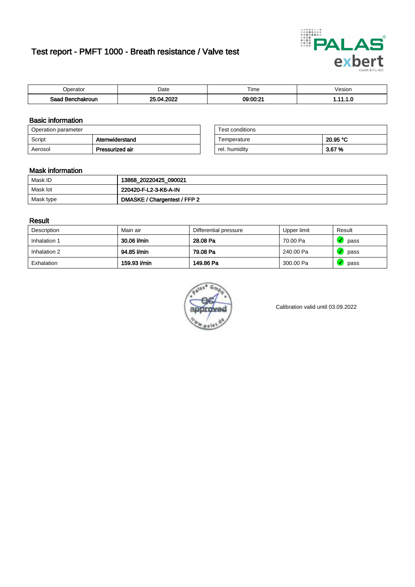# Test report - PMFT 1000 - Breath resistance / Valve test



| n<br>aw                     | Date | $- \cdot$<br><b>Time</b> | esion |
|-----------------------------|------|--------------------------|-------|
| Saad<br><b>chakroun</b><br> | onos | 09:00:21                 | .     |

### Basic information

| Operation parameter |                 | Test conditions |          |
|---------------------|-----------------|-----------------|----------|
| Script              | Atemwiderstand  | Temperature     | 20.95 °C |
| Aerosol             | Pressurized air | rel. humidity   | 3.67 %   |

| Test conditions |          |
|-----------------|----------|
| Temperature     | 20.95 °C |
| rel. humidity   | 3.67%    |

### Mask information

| Mask ID   | 13868_20220425_090021        |
|-----------|------------------------------|
| Mask lot  | 220420-F-L2-3-K6-A-IN        |
| Mask type | DMASKE / Chargentest / FFP 2 |

### Result

| Description  | Main air     | Differential pressure | Upper limit | Result |
|--------------|--------------|-----------------------|-------------|--------|
| Inhalation 1 | 30.06 l/min  | 28.08 Pa              | 70.00 Pa    | pass   |
| Inhalation 2 | 94.85 l/min  | 79.08 Pa              | 240.00 Pa   | pass   |
| Exhalation   | 159.93 l/min | 149.86 Pa             | 300.00 Pa   | pass   |



Calibration valid until 03.09.2022